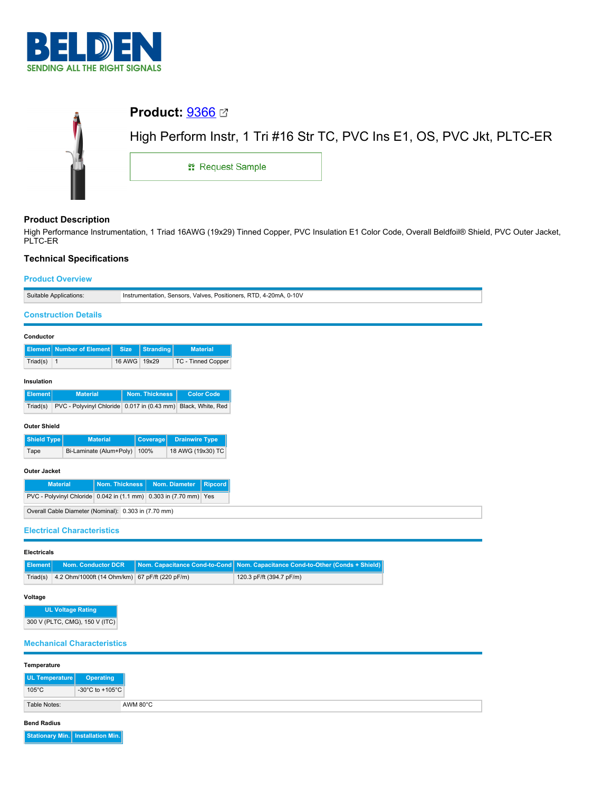

| Ů | <b>Product:</b> $9366 \n\textcircled{3}$ |                                                                        |  |  |
|---|------------------------------------------|------------------------------------------------------------------------|--|--|
|   |                                          | High Perform Instr, 1 Tri #16 Str TC, PVC Ins E1, OS, PVC Jkt, PLTC-ER |  |  |
|   | <b>: Request Sample</b>                  |                                                                        |  |  |
|   |                                          |                                                                        |  |  |

# **Product Description**

 $\overline{\phantom{a}}$ 

High Performance Instrumentation, 1 Triad 16AWG (19x29) Tinned Copper, PVC Insulation E1 Color Code, Overall Beldfoil® Shield, PVC Outer Jacket, PLTC-ER

## **Technical Specifications**

# **Product Overview**

| <b>FIUUULUVEIVIEW</b>                                   |                                                                                  |  |  |  |
|---------------------------------------------------------|----------------------------------------------------------------------------------|--|--|--|
| Suitable Applications:                                  | Instrumentation, Sensors, Valves, Positioners, RTD, 4-20mA, 0-10V                |  |  |  |
| <b>Construction Details</b>                             |                                                                                  |  |  |  |
| Conductor                                               |                                                                                  |  |  |  |
| <b>Element</b> Number of Element                        | <b>Size</b><br><b>Stranding</b><br><b>Material</b>                               |  |  |  |
| Triad(s) $\vert$ 1                                      | 16 AWG 19x29<br><b>TC - Tinned Copper</b>                                        |  |  |  |
| Insulation                                              |                                                                                  |  |  |  |
| <b>Material</b><br><b>Element</b>                       | Nom. Thickness<br><b>Color Code</b>                                              |  |  |  |
| Triad(s)<br>PVC - Polyvinyl Chloride 0.017 in (0.43 mm) | Black, White, Red                                                                |  |  |  |
| <b>Outer Shield</b>                                     |                                                                                  |  |  |  |
| <b>Shield Type</b><br><b>Material</b>                   | <b>Drainwire Type</b><br>Coverage                                                |  |  |  |
| Bi-Laminate (Alum+Poly)<br>Tape                         | 100%<br>18 AWG (19x30) TC                                                        |  |  |  |
| <b>Outer Jacket</b>                                     |                                                                                  |  |  |  |
| <b>Material</b>                                         | <b>Nom. Thickness</b><br>Nom. Diameter<br><b>Ripcord</b>                         |  |  |  |
|                                                         | PVC - Polyvinyl Chloride 0.042 in (1.1 mm) 0.303 in (7.70 mm) Yes                |  |  |  |
| Overall Cable Diameter (Nominal): 0.303 in (7.70 mm)    |                                                                                  |  |  |  |
| <b>Electrical Characteristics</b>                       |                                                                                  |  |  |  |
|                                                         |                                                                                  |  |  |  |
| <b>Electricals</b>                                      |                                                                                  |  |  |  |
| <b>Nom. Conductor DCR</b><br><b>Element</b>             | Nom. Capacitance Cond-to-Cond<br>Nom. Capacitance Cond-to-Other (Conds + Shield) |  |  |  |
| Triad(s)                                                | 4.2 Ohm/1000ft (14 Ohm/km) 67 pF/ft (220 pF/m)<br>120.3 pF/ft (394.7 pF/m)       |  |  |  |

#### **Voltage**

**UL Voltage Rating** 300 V (PLTC, CMG), 150 V (ITC)

# **Mechanical Characteristics**

| Temperature     |                                       |
|-----------------|---------------------------------------|
| UL Temperature  | Operating                             |
| $105^{\circ}$ C | -30 $^{\circ}$ C to +105 $^{\circ}$ C |
| Table Notes:    |                                       |

#### **Bend Radius**

**Stationary Min. Installation Min.**